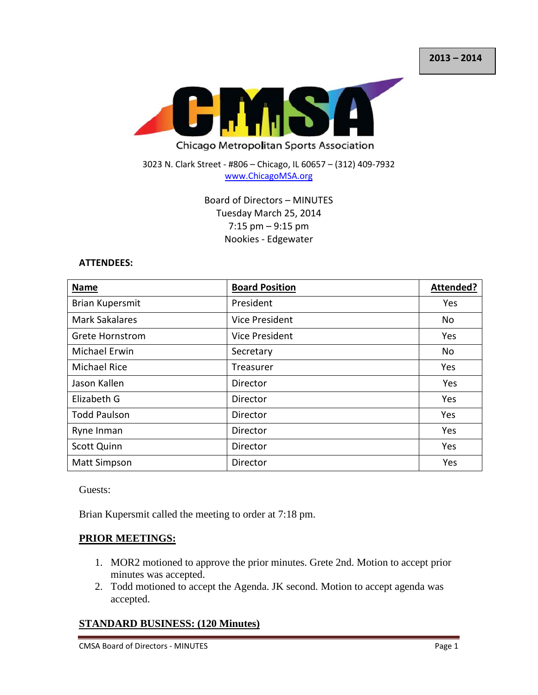

3023 N. Clark Street - #806 – Chicago, IL 60657 – (312) 409-7932 [www.ChicagoMSA.org](http://www.chicagomsa.org/)

> Board of Directors – MINUTES Tuesday March 25, 2014 7:15 pm – 9:15 pm Nookies - Edgewater

#### **ATTENDEES:**

| <b>Name</b>            | <b>Board Position</b> | Attended? |
|------------------------|-----------------------|-----------|
| Brian Kupersmit        | President             | Yes       |
| <b>Mark Sakalares</b>  | Vice President        | No        |
| <b>Grete Hornstrom</b> | Vice President        | Yes       |
| <b>Michael Erwin</b>   | Secretary             | No        |
| <b>Michael Rice</b>    | Treasurer             | Yes       |
| Jason Kallen           | Director              | Yes       |
| Elizabeth G            | Director              | Yes       |
| <b>Todd Paulson</b>    | Director              | Yes       |
| Ryne Inman             | Director              | Yes       |
| <b>Scott Quinn</b>     | Director              | Yes       |
| <b>Matt Simpson</b>    | Director              | Yes       |

Guests:

Brian Kupersmit called the meeting to order at 7:18 pm.

#### **PRIOR MEETINGS:**

- 1. MOR2 motioned to approve the prior minutes. Grete 2nd. Motion to accept prior minutes was accepted.
- 2. Todd motioned to accept the Agenda. JK second. Motion to accept agenda was accepted.

### **STANDARD BUSINESS: (120 Minutes)**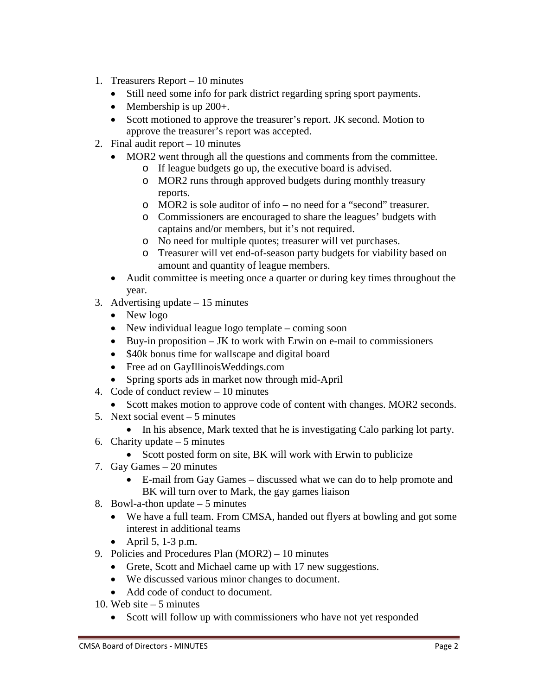- 1. Treasurers Report 10 minutes
	- Still need some info for park district regarding spring sport payments.
	- Membership is up 200+.
	- Scott motioned to approve the treasurer's report. JK second. Motion to approve the treasurer's report was accepted.
- 2. Final audit report 10 minutes
	- MOR2 went through all the questions and comments from the committee.
		- o If league budgets go up, the executive board is advised.
		- o MOR2 runs through approved budgets during monthly treasury reports.
		- o MOR2 is sole auditor of info no need for a "second" treasurer.
		- o Commissioners are encouraged to share the leagues' budgets with captains and/or members, but it's not required.
		- o No need for multiple quotes; treasurer will vet purchases.
		- o Treasurer will vet end-of-season party budgets for viability based on amount and quantity of league members.
	- Audit committee is meeting once a quarter or during key times throughout the year.
- 3. Advertising update 15 minutes
	- New logo
	- New individual league logo template coming soon
	- Buy-in proposition  $-$  JK to work with Erwin on e-mail to commissioners
	- \$40k bonus time for wallscape and digital board
	- Free ad on GayIllinoisWeddings.com
	- Spring sports ads in market now through mid-April
- 4. Code of conduct review 10 minutes
- Scott makes motion to approve code of content with changes. MOR2 seconds.
- 5. Next social event 5 minutes
	- In his absence, Mark texted that he is investigating Calo parking lot party.
- 6. Charity update  $-5$  minutes
	- Scott posted form on site, BK will work with Erwin to publicize
- 7. Gay Games 20 minutes
	- E-mail from Gay Games discussed what we can do to help promote and BK will turn over to Mark, the gay games liaison
- 8. Bowl-a-thon update  $-5$  minutes
	- We have a full team. From CMSA, handed out flyers at bowling and got some interest in additional teams
	- April 5, 1-3 p.m.
- 9. Policies and Procedures Plan (MOR2) 10 minutes
	- Grete, Scott and Michael came up with 17 new suggestions.
	- We discussed various minor changes to document.
	- Add code of conduct to document.
- 10. Web site  $-5$  minutes
	- Scott will follow up with commissioners who have not yet responded